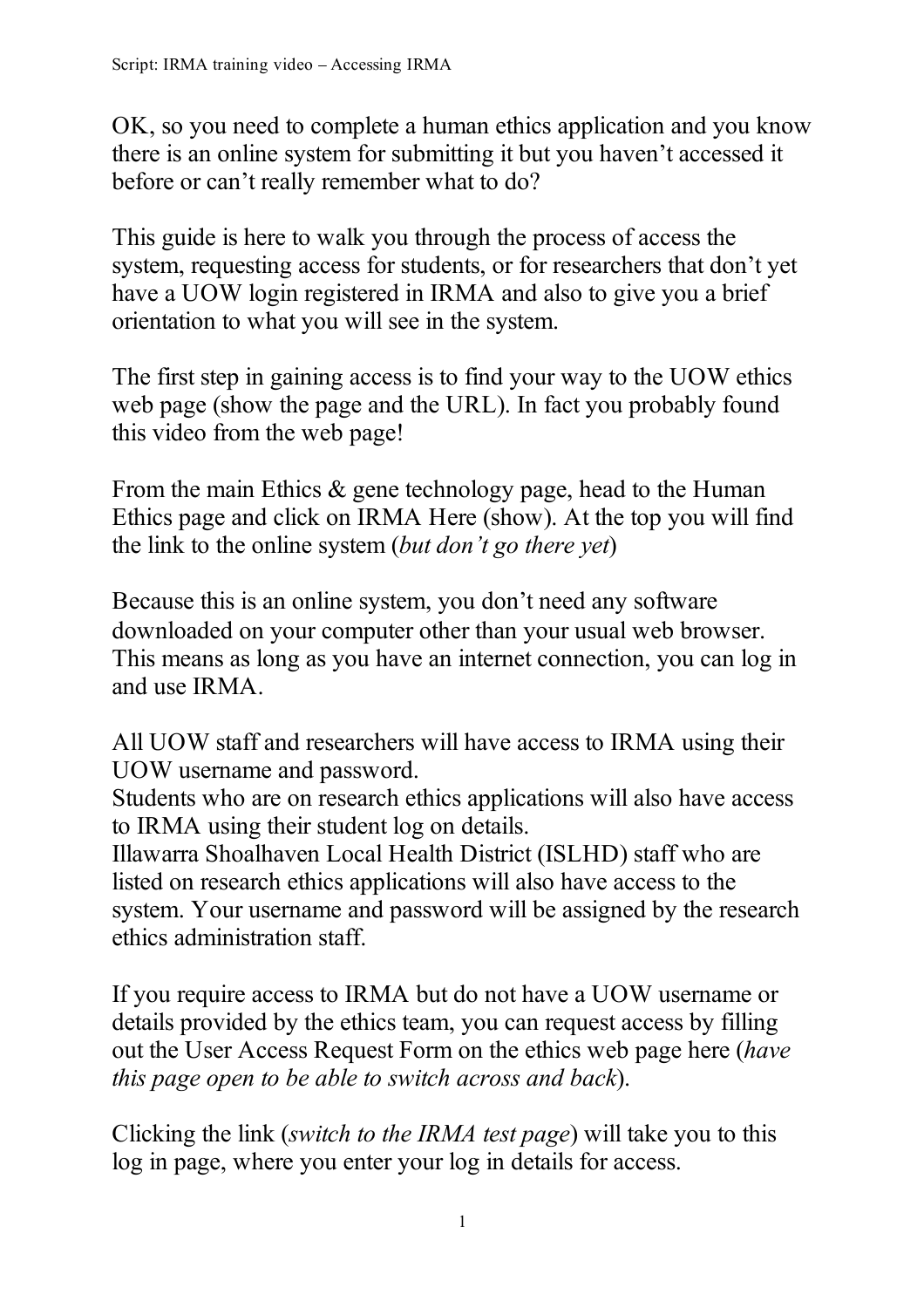OK, so you need to complete a human ethics application and you know there is an online system for submitting it but you haven't accessed it before or can't really remember what to do?

This guide is here to walk you through the process of access the system, requesting access for students, or for researchers that don't yet have a UOW login registered in IRMA and also to give you a brief orientation to what you will see in the system.

The first step in gaining access is to find your way to the UOW ethics web page (show the page and the URL). In fact you probably found this video from the web page!

From the main Ethics & gene technology page, head to the Human Ethics page and click on IRMA Here (show). At the top you will find the link to the online system (*but don't go there yet*)

Because this is an online system, you don't need any software downloaded on your computer other than your usual web browser. This means as long as you have an internet connection, you can log in and use IRMA.

All UOW staff and researchers will have access to IRMA using their UOW username and password.

Students who are on research ethics applications will also have access to IRMA using their student log on details.

Illawarra Shoalhaven Local Health District (ISLHD) staff who are listed on research ethics applications will also have access to the system. Your username and password will be assigned by the research ethics administration staff.

If you require access to IRMA but do not have a UOW username or details provided by the ethics team, you can request access by filling out the User Access Request Form on the ethics web page here (*have this page open to be able to switch across and back*).

Clicking the link (*switch to the IRMA test page*) will take you to this log in page, where you enter your log in details for access.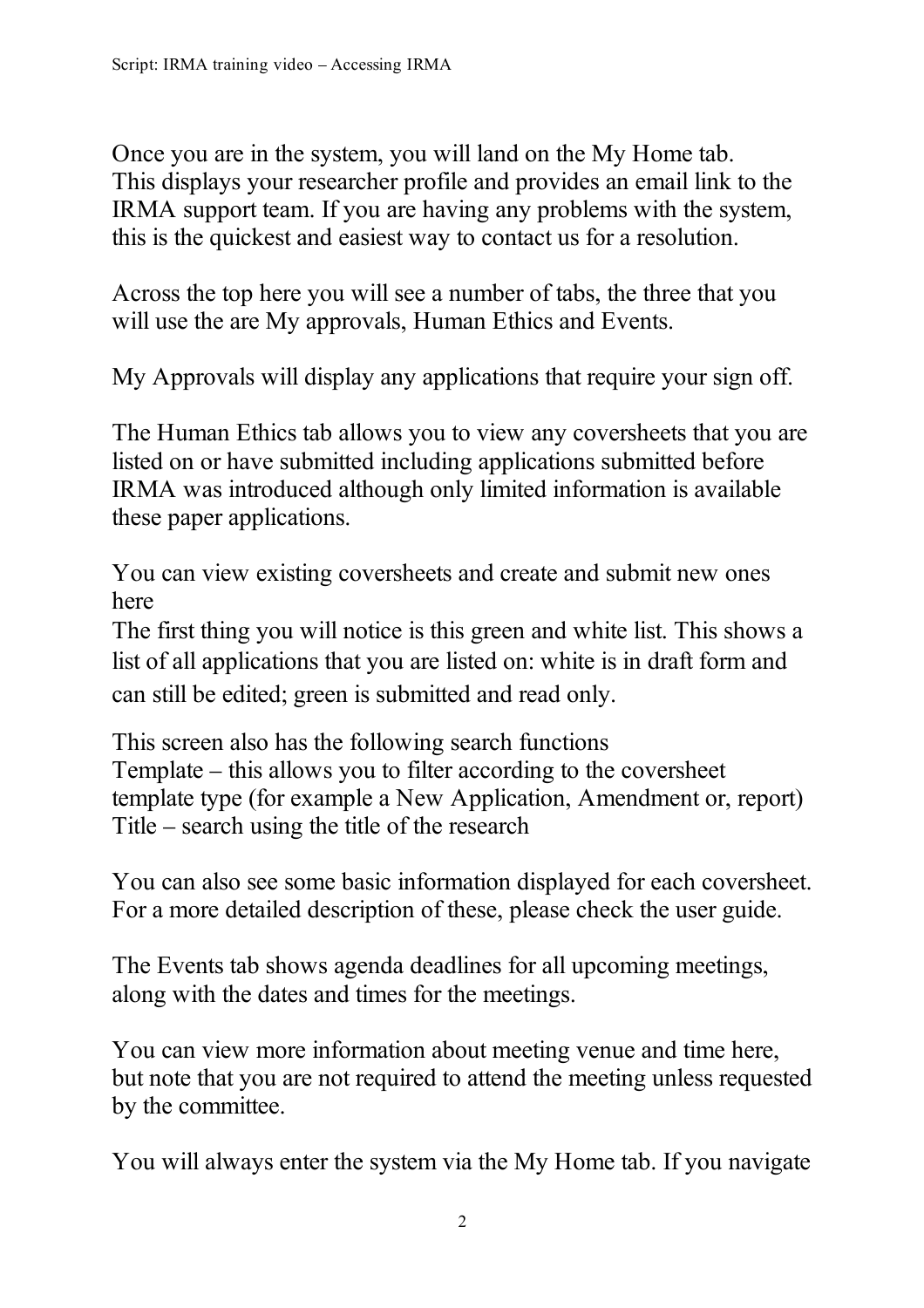Once you are in the system, you will land on the My Home tab. This displays your researcher profile and provides an email link to the IRMA support team. If you are having any problems with the system, this is the quickest and easiest way to contact us for a resolution.

Across the top here you will see a number of tabs, the three that you will use the are My approvals, Human Ethics and Events.

My Approvals will display any applications that require your sign off.

The Human Ethics tab allows you to view any coversheets that you are listed on or have submitted including applications submitted before IRMA was introduced although only limited information is available these paper applications.

You can view existing coversheets and create and submit new ones here

The first thing you will notice is this green and white list. This shows a list of all applications that you are listed on: white is in draft form and can still be edited; green is submitted and read only.

This screen also has the following search functions Template – this allows you to filter according to the coversheet template type (for example a New Application, Amendment or, report) Title – search using the title of the research

You can also see some basic information displayed for each coversheet. For a more detailed description of these, please check the user guide.

The Events tab shows agenda deadlines for all upcoming meetings, along with the dates and times for the meetings.

You can view more information about meeting venue and time here, but note that you are not required to attend the meeting unless requested by the committee.

You will always enter the system via the My Home tab. If you navigate